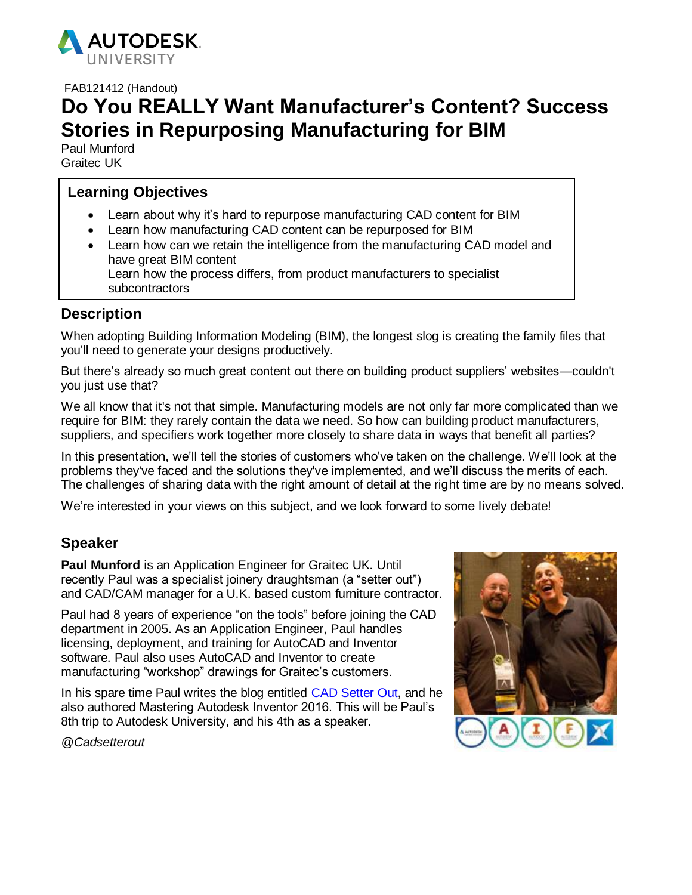

FAB121412 (Handout)

# **Do You REALLY Want Manufacturer's Content? Success Stories in Repurposing Manufacturing for BIM**

Paul Munford Graitec UK

# **Learning Objectives**

- Learn about why it's hard to repurpose manufacturing CAD content for BIM
- Learn how manufacturing CAD content can be repurposed for BIM
- Learn how can we retain the intelligence from the manufacturing CAD model and have great BIM content Learn how the process differs, from product manufacturers to specialist subcontractors

# **Description**

When adopting Building Information Modeling (BIM), the longest slog is creating the family files that you'll need to generate your designs productively.

But there's already so much great content out there on building product suppliers' websites—couldn't you just use that?

We all know that it's not that simple. Manufacturing models are not only far more complicated than we require for BIM: they rarely contain the data we need. So how can building product manufacturers, suppliers, and specifiers work together more closely to share data in ways that benefit all parties?

In this presentation, we'll tell the stories of customers who've taken on the challenge. We'll look at the problems they've faced and the solutions they've implemented, and we'll discuss the merits of each. The challenges of sharing data with the right amount of detail at the right time are by no means solved.

We're interested in your views on this subject, and we look forward to some lively debate!

# **Speaker**

**Paul Munford** is an Application Engineer for Graitec UK. Until recently Paul was a specialist joinery draughtsman (a "setter out") and CAD/CAM manager for a U.K. based custom furniture contractor.

Paul had 8 years of experience "on the tools" before joining the CAD department in 2005. As an Application Engineer, Paul handles licensing, deployment, and training for AutoCAD and Inventor software. Paul also uses AutoCAD and Inventor to create manufacturing "workshop" drawings for Graitec's customers.

In his spare time Paul writes the blog entitled [CAD Setter Out,](http://cadsetterout.com/) and he also authored Mastering Autodesk Inventor 2016. This will be Paul's 8th trip to Autodesk University, and his 4th as a speaker.



*@Cadsetterout*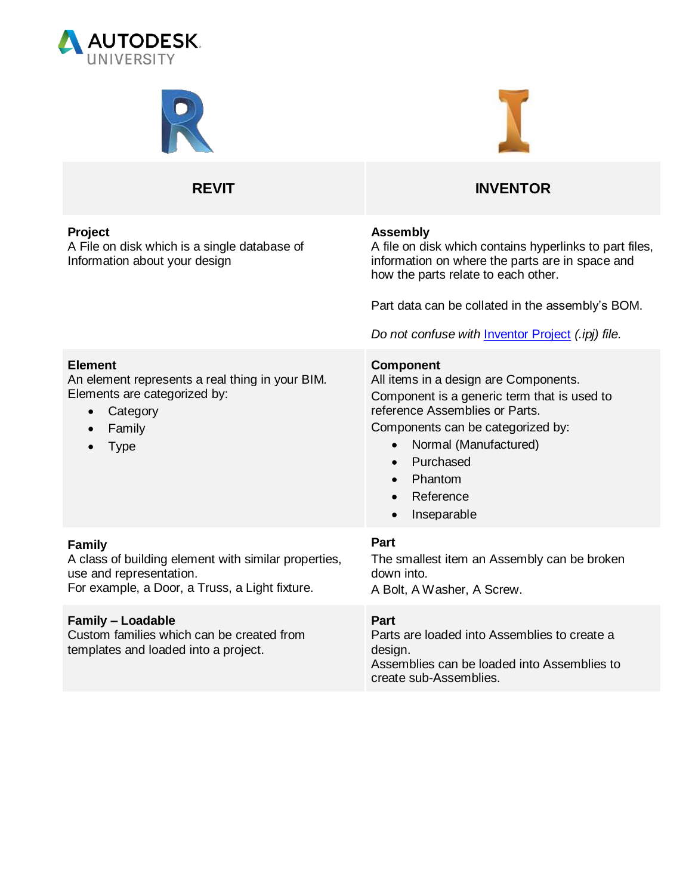



### **Project**

A File on disk which is a single database of Information about your design



# **REVIT INVENTOR**

#### **Assembly**

A file on disk which contains hyperlinks to part files, information on where the parts are in space and how the parts relate to each other.

Part data can be collated in the assembly's BOM.

*Do not confuse with* [Inventor Project](#page-7-0) *(.ipj) file.*

#### **Component**

All items in a design are Components. Component is a generic term that is used to reference Assemblies or Parts.

Components can be categorized by:

- Normal (Manufactured)
- Purchased
- Phantom
- Reference
- Inseparable

#### **Part**

The smallest item an Assembly can be broken down into. A Bolt, A Washer, A Screw.

**Part**

Parts are loaded into Assemblies to create a design.

Assemblies can be loaded into Assemblies to create sub-Assemblies.

#### **Element**

An element represents a real thing in your BIM. Elements are categorized by:

- Category
- Family
- Type

#### **Family**

A class of building element with similar properties, use and representation.

For example, a Door, a Truss, a Light fixture.

#### **Family – Loadable**

Custom families which can be created from templates and loaded into a project.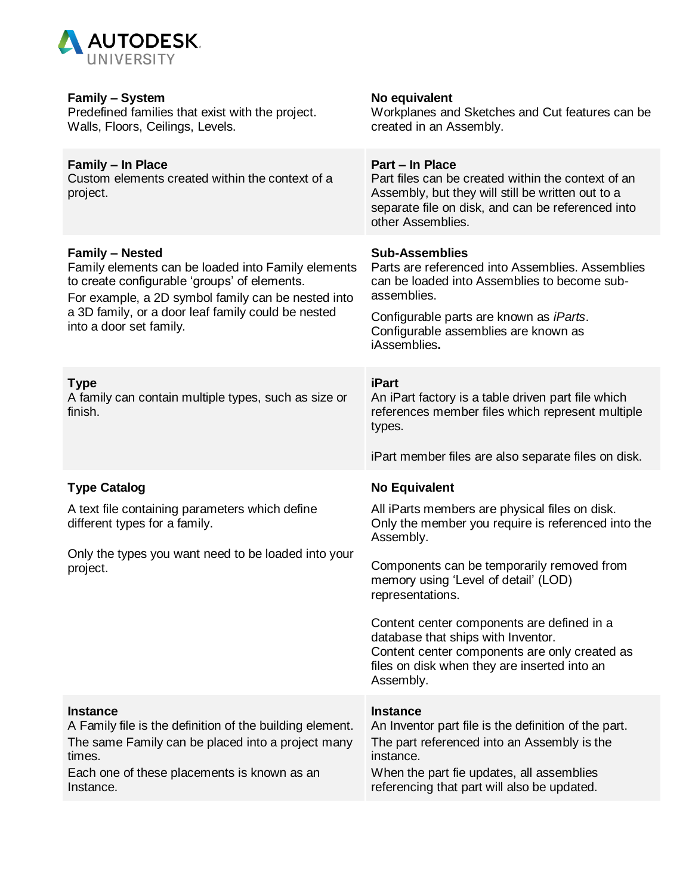

| <b>Family – System</b><br>Predefined families that exist with the project.<br>Walls, Floors, Ceilings, Levels.                                                                                                                                                                     | No equivalent<br>Workplanes and Sketches and Cut features can be<br>created in an Assembly.                                                                                                                                                                 |
|------------------------------------------------------------------------------------------------------------------------------------------------------------------------------------------------------------------------------------------------------------------------------------|-------------------------------------------------------------------------------------------------------------------------------------------------------------------------------------------------------------------------------------------------------------|
| <b>Family - In Place</b><br>Custom elements created within the context of a<br>project.                                                                                                                                                                                            | Part - In Place<br>Part files can be created within the context of an<br>Assembly, but they will still be written out to a<br>separate file on disk, and can be referenced into<br>other Assemblies.                                                        |
| <b>Family - Nested</b><br>Family elements can be loaded into Family elements<br>to create configurable 'groups' of elements.<br>For example, a 2D symbol family can be nested into<br>a 3D family, or a door leaf family could be nested<br>into a door set family.<br><b>Type</b> | <b>Sub-Assemblies</b><br>Parts are referenced into Assemblies. Assemblies<br>can be loaded into Assemblies to become sub-<br>assemblies.<br>Configurable parts are known as iParts.<br>Configurable assemblies are known as<br>iAssemblies.<br><b>iPart</b> |
| A family can contain multiple types, such as size or<br>finish.                                                                                                                                                                                                                    | An iPart factory is a table driven part file which<br>references member files which represent multiple<br>types.<br>iPart member files are also separate files on disk.                                                                                     |
| <b>Type Catalog</b>                                                                                                                                                                                                                                                                | <b>No Equivalent</b>                                                                                                                                                                                                                                        |
| A text file containing parameters which define<br>different types for a family.                                                                                                                                                                                                    | All iParts members are physical files on disk.<br>Only the member you require is referenced into the<br>Assembly.                                                                                                                                           |
| Only the types you want need to be loaded into your<br>project.                                                                                                                                                                                                                    | Components can be temporarily removed from<br>memory using 'Level of detail' (LOD)<br>representations.                                                                                                                                                      |
|                                                                                                                                                                                                                                                                                    | Content center components are defined in a<br>database that ships with Inventor.<br>Content center components are only created as<br>files on disk when they are inserted into an<br>Assembly.                                                              |
| <b>Instance</b><br>A Family file is the definition of the building element.<br>The same Family can be placed into a project many<br>times.<br>Each one of these placements is known as an<br>Instance.                                                                             | <b>Instance</b><br>An Inventor part file is the definition of the part.<br>The part referenced into an Assembly is the<br>instance.<br>When the part fie updates, all assemblies<br>referencing that part will also be updated.                             |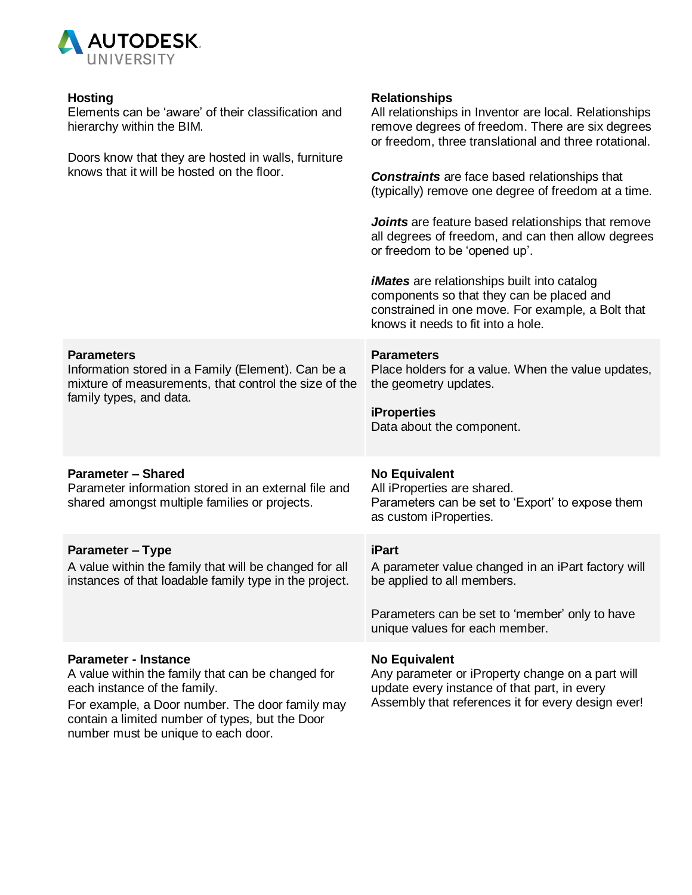

number must be unique to each door.

| <b>Hosting</b><br>Elements can be 'aware' of their classification and<br>hierarchy within the BIM.<br>Doors know that they are hosted in walls, furniture<br>knows that it will be hosted on the floor.                | <b>Relationships</b><br>All relationships in Inventor are local. Relationships<br>remove degrees of freedom. There are six degrees<br>or freedom, three translational and three rotational.<br><b>Constraints</b> are face based relationships that<br>(typically) remove one degree of freedom at a time.<br><b>Joints</b> are feature based relationships that remove<br>all degrees of freedom, and can then allow degrees<br>or freedom to be 'opened up'.<br><i>iMates</i> are relationships built into catalog<br>components so that they can be placed and<br>constrained in one move. For example, a Bolt that<br>knows it needs to fit into a hole. |
|------------------------------------------------------------------------------------------------------------------------------------------------------------------------------------------------------------------------|--------------------------------------------------------------------------------------------------------------------------------------------------------------------------------------------------------------------------------------------------------------------------------------------------------------------------------------------------------------------------------------------------------------------------------------------------------------------------------------------------------------------------------------------------------------------------------------------------------------------------------------------------------------|
| <b>Parameters</b><br>Information stored in a Family (Element). Can be a<br>mixture of measurements, that control the size of the<br>family types, and data.                                                            | <b>Parameters</b><br>Place holders for a value. When the value updates,<br>the geometry updates.<br><b>iProperties</b><br>Data about the component.                                                                                                                                                                                                                                                                                                                                                                                                                                                                                                          |
| <b>Parameter - Shared</b><br>Parameter information stored in an external file and<br>shared amongst multiple families or projects.                                                                                     | <b>No Equivalent</b><br>All iProperties are shared.<br>Parameters can be set to 'Export' to expose them<br>as custom iProperties.                                                                                                                                                                                                                                                                                                                                                                                                                                                                                                                            |
| <b>Parameter - Type</b><br>A value within the family that will be changed for all<br>instances of that loadable family type in the project.                                                                            | <b>iPart</b><br>A parameter value changed in an iPart factory will<br>be applied to all members.<br>Parameters can be set to 'member' only to have<br>unique values for each member.                                                                                                                                                                                                                                                                                                                                                                                                                                                                         |
| <b>Parameter - Instance</b><br>A value within the family that can be changed for<br>each instance of the family.<br>For example, a Door number. The door family may<br>contain a limited number of types, but the Door | <b>No Equivalent</b><br>Any parameter or iProperty change on a part will<br>update every instance of that part, in every<br>Assembly that references it for every design ever!                                                                                                                                                                                                                                                                                                                                                                                                                                                                               |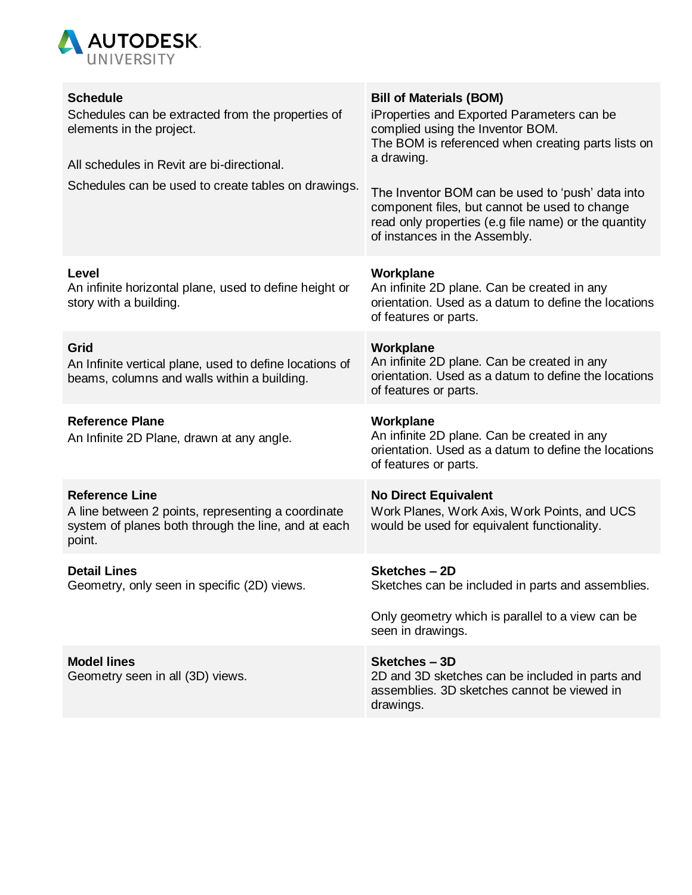

| <b>Schedule</b><br>Schedules can be extracted from the properties of<br>elements in the project.<br>All schedules in Revit are bi-directional.<br>Schedules can be used to create tables on drawings. | <b>Bill of Materials (BOM)</b><br>iProperties and Exported Parameters can be<br>complied using the Inventor BOM.<br>The BOM is referenced when creating parts lists on<br>a drawing.<br>The Inventor BOM can be used to 'push' data into<br>component files, but cannot be used to change<br>read only properties (e.g file name) or the quantity<br>of instances in the Assembly. |
|-------------------------------------------------------------------------------------------------------------------------------------------------------------------------------------------------------|------------------------------------------------------------------------------------------------------------------------------------------------------------------------------------------------------------------------------------------------------------------------------------------------------------------------------------------------------------------------------------|
| Level<br>An infinite horizontal plane, used to define height or<br>story with a building.                                                                                                             | Workplane<br>An infinite 2D plane. Can be created in any<br>orientation. Used as a datum to define the locations<br>of features or parts.                                                                                                                                                                                                                                          |
| Grid<br>An Infinite vertical plane, used to define locations of<br>beams, columns and walls within a building.                                                                                        | Workplane<br>An infinite 2D plane. Can be created in any<br>orientation. Used as a datum to define the locations<br>of features or parts.                                                                                                                                                                                                                                          |
| <b>Reference Plane</b><br>An Infinite 2D Plane, drawn at any angle.                                                                                                                                   | Workplane<br>An infinite 2D plane. Can be created in any<br>orientation. Used as a datum to define the locations<br>of features or parts.                                                                                                                                                                                                                                          |
| <b>Reference Line</b><br>A line between 2 points, representing a coordinate<br>system of planes both through the line, and at each<br>point.                                                          | <b>No Direct Equivalent</b><br>Work Planes, Work Axis, Work Points, and UCS<br>would be used for equivalent functionality.                                                                                                                                                                                                                                                         |
| <b>Detail Lines</b><br>Geometry, only seen in specific (2D) views.                                                                                                                                    | Sketches-2D<br>Sketches can be included in parts and assemblies.                                                                                                                                                                                                                                                                                                                   |
|                                                                                                                                                                                                       | Only geometry which is parallel to a view can be<br>seen in drawings.                                                                                                                                                                                                                                                                                                              |
| <b>Model lines</b><br>Geometry seen in all (3D) views.                                                                                                                                                | Sketches-3D<br>2D and 3D sketches can be included in parts and<br>assemblies. 3D sketches cannot be viewed in<br>drawings.                                                                                                                                                                                                                                                         |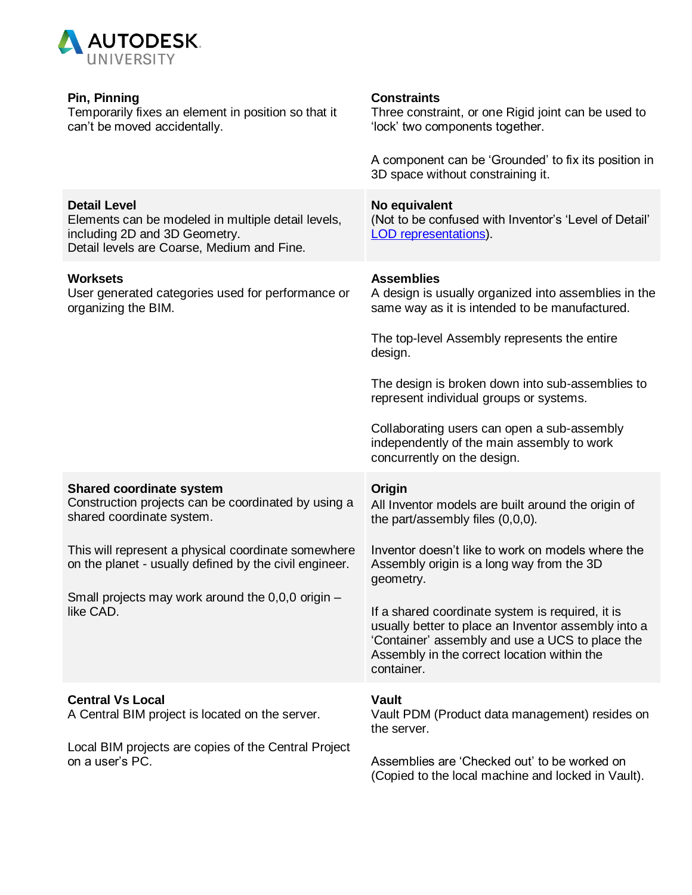

| Pin, Pinning<br>Temporarily fixes an element in position so that it<br>can't be moved accidentally.                                                      | <b>Constraints</b><br>Three constraint, or one Rigid joint can be used to<br>'lock' two components together.<br>A component can be 'Grounded' to fix its position in                                                    |
|----------------------------------------------------------------------------------------------------------------------------------------------------------|-------------------------------------------------------------------------------------------------------------------------------------------------------------------------------------------------------------------------|
|                                                                                                                                                          | 3D space without constraining it.                                                                                                                                                                                       |
| <b>Detail Level</b><br>Elements can be modeled in multiple detail levels,<br>including 2D and 3D Geometry.<br>Detail levels are Coarse, Medium and Fine. | No equivalent<br>(Not to be confused with Inventor's 'Level of Detail'<br><b>LOD</b> representations).                                                                                                                  |
| <b>Worksets</b><br>User generated categories used for performance or<br>organizing the BIM.                                                              | <b>Assemblies</b><br>A design is usually organized into assemblies in the<br>same way as it is intended to be manufactured.                                                                                             |
|                                                                                                                                                          | The top-level Assembly represents the entire<br>design.                                                                                                                                                                 |
|                                                                                                                                                          | The design is broken down into sub-assemblies to<br>represent individual groups or systems.                                                                                                                             |
|                                                                                                                                                          | Collaborating users can open a sub-assembly<br>independently of the main assembly to work<br>concurrently on the design.                                                                                                |
| <b>Shared coordinate system</b><br>Construction projects can be coordinated by using a<br>shared coordinate system.                                      | Origin<br>All Inventor models are built around the origin of<br>the part/assembly files $(0,0,0)$ .                                                                                                                     |
| This will represent a physical coordinate somewhere<br>on the planet - usually defined by the civil engineer.                                            | Inventor doesn't like to work on models where the<br>Assembly origin is a long way from the 3D<br>geometry.                                                                                                             |
| Small projects may work around the 0,0,0 origin -<br>like CAD.                                                                                           | If a shared coordinate system is required, it is<br>usually better to place an Inventor assembly into a<br>'Container' assembly and use a UCS to place the<br>Assembly in the correct location within the<br>container. |
| <b>Central Vs Local</b><br>A Central BIM project is located on the server.                                                                               | <b>Vault</b><br>Vault PDM (Product data management) resides on<br>the server.                                                                                                                                           |
| Local BIM projects are copies of the Central Project<br>on a user's PC.                                                                                  | Assemblies are 'Checked out' to be worked on<br>(Copied to the local machine and locked in Vault).                                                                                                                      |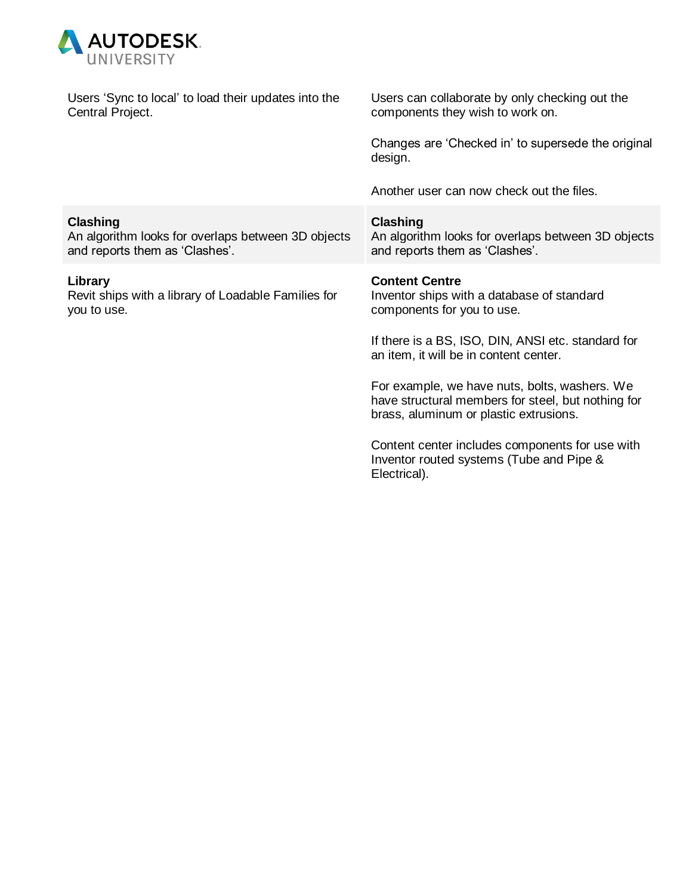

| Users 'Sync to local' to load their updates into the<br>Central Project.                                | Users can collaborate by only checking out the<br>components they wish to work on.                                                            |
|---------------------------------------------------------------------------------------------------------|-----------------------------------------------------------------------------------------------------------------------------------------------|
|                                                                                                         | Changes are 'Checked in' to supersede the original<br>design.                                                                                 |
|                                                                                                         | Another user can now check out the files.                                                                                                     |
| <b>Clashing</b><br>An algorithm looks for overlaps between 3D objects<br>and reports them as 'Clashes'. | <b>Clashing</b><br>An algorithm looks for overlaps between 3D objects<br>and reports them as 'Clashes'.                                       |
| Library<br>Revit ships with a library of Loadable Families for<br>you to use.                           | <b>Content Centre</b><br>Inventor ships with a database of standard<br>components for you to use.                                             |
|                                                                                                         | If there is a BS, ISO, DIN, ANSI etc. standard for<br>an item, it will be in content center.                                                  |
|                                                                                                         | For example, we have nuts, bolts, washers. We<br>have structural members for steel, but nothing for<br>brass, aluminum or plastic extrusions. |
|                                                                                                         | Content center includes components for use with<br>Inventor routed systems (Tube and Pipe &<br>Electrical).                                   |